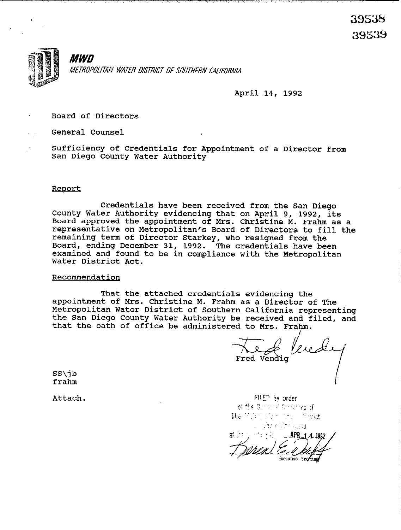

 $\mathcal{F} \times \mathcal{F} \rightarrow \mathcal{F} \times \mathcal{F} \rightarrow \mathcal{F} \times \mathcal{F}$ 

April 14, 1992

Board of Directors

General Counsel

Sufficiency of Credentials for Appointment of a Director from San Diego County Water Authority

### Renort

Credentials have been received from the San Diego County Water Authority evidencing that on April 9, 1992, its Board approved the appointment of Mrs. Christine M. Frahm as a representative on Metropolitan's Board of Directors to fill the remaining term of Director Starkey, who resigned from the Board, ending December 31, 1992. The credentials have been examined and found to be in compliance with the Metropolitan Water District Act.

#### Recommendation

That the attached credentials evidencing the appointment of Mrs. Christine M. Frahm as a Director of The Metropolitan Water District of Southern California representing the San Diego County Water Authority be received and filed, and that the oath of office be administered to Mrs. Frahm.

Jereke Fred Vendig

SS\jb *f* rahm

Attach.

FILED by order of the Dunity of throating of The World Committee Street **Kay a Collinea** APR

Executive Secretar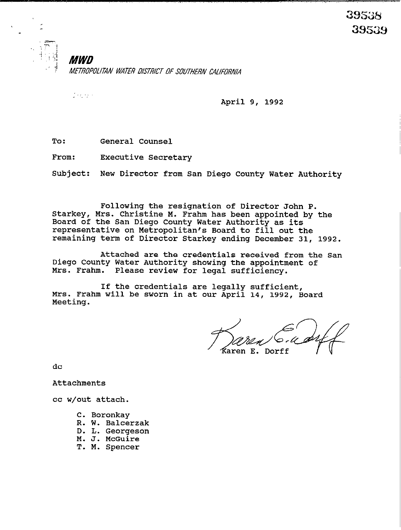**MWD** METROPOLITAN WATER DISTRICT OF SOUTHERN CALIFORNIA

 $\frac{1}{2} \left( \frac{1}{2} \frac{1}{2} \frac{1}{2} \right) \left( \frac{1}{2} \right)$ 

April 9, 1992

**To:** General Counsel

From: Executive Secretary

Subject: New Director from San Diego County Water Authority

Following the resignation of Director John P. Starkey, Mrs. Christine M. Frahm has been appointed by the Board of the San Diego County Water Authority as its representative on Metropolitan's Board to fill out the remaining term of Director Starkey ending December 31, 1992.

Attached are the credentials received from the San Diego county Water Authority showing the appointment of Mrs. Frahm. Please review for legal sufficiency.

If the credentials are legally sufficient, Mrs. Frahm will be sworn in at our April 14, 1992, Board Meeting.

aren E. Dorff

dc

Attachments

cc w/out attach.

- C. Boronkay
- R. W. Balcerzak
- D. L. Georgeson
- M. J. McGuire
- T. M. Spencer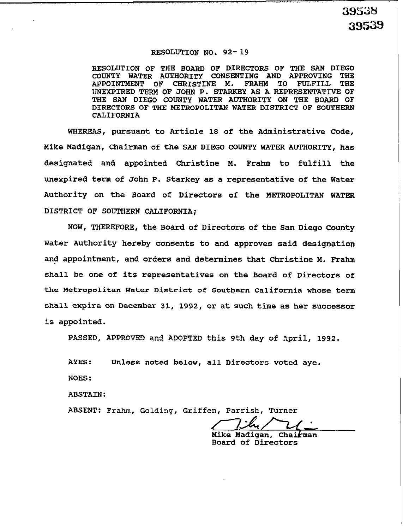# **RESOLUTION NO. 92-19**

**RESOLUTION OF THE BOARD OF DIRECTORS OF THE SAN DIEGO**  COUNTY WATER AUTHORITY CONSENTING AND APPROVING THE APPOINTMENT OF CHRISTINE M. FRAHM TO FULFILL THE **APPOINTMENT OF UNEXPIRED TERM OF JOHN P. STARKEY AS A REPRESENTATIVE OF THE SAN DIEGO COUNTY WATER AUTHORITY ON THE BOARD OF DIRECTORS OF THE METROPOLITAN WATER DISTRICT OF SOUTHERN CALIFORNIA** 

**WHEREAS, pursuant to Article 18 of the Administrative Code, Mike Madigan, Chairman of the SAN DIEGO COUNTY WATER AUTHORITY, has designated and appointed Christine M. Frahm to fulfill the unexpired term of John P. Starkey as a representative of the Water Authority on the Board of Directors of the METROPOLITAN WATER DISTRICT OF SOUTHERN CALIFORNIA;** 

**NOW, THEREFORE, the Board of Directors of the San Diego County Water Authority hereby consents to and approves said designation and appointment, and orders and determines that Christine M. Frahm shall be one of its representatives on the Board of Directors of the Metropolitan Water District of Southern California whose term shall expire on December 31, 1992, or at such time as her successor is appointed.** 

PASSED, APPROVED and ADOPTED this 9th day of *April, 1992*.

**AYES: Unless noted below, all Directors voted aye. NOES:** 

**ABSTAIN:** 

**ABSENT: Frahm, Golding, Griffen, Parrish, Turner** 

Mike Madigan, Chai*k*man **Board of Directors**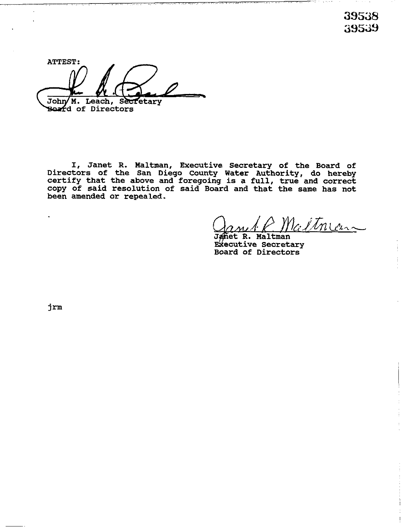39S38 39s39

**ATTEST:**  John/ M. Leach, Secretary **Board of Directors** 

-. - ., v.,. ~...

I, **Janet R. Kaltman, Executive Secretary of the Board of Directors of the San Diego County Water Authority, do hereby certify that the above and foregoing is a full, true and correct copy of said resolution of said Board and that the same has not been amended or repealed.** 

, which is a sequence of the contract of the contract of  $\alpha$  . The contract of the contract of the contract of

Valtneau

. . . ., .,

**het R. Maltman Executive Secretary Board of Directors** 

 $j$  $r$ m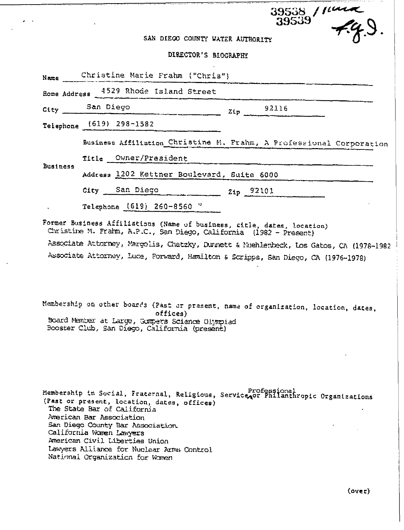# $\frac{39538}{39539}$   $\frac{1044}{7}$ SAN DIEGO COUNTY WATER AUTHORITY

 $\epsilon$  .

# DIOPOTODIO BEDODARINE

|                 |                                            | DIKTCLOK.2 RIOCHFLHA                                                                                                                          |     |       |  |  |  |  |
|-----------------|--------------------------------------------|-----------------------------------------------------------------------------------------------------------------------------------------------|-----|-------|--|--|--|--|
| Name            | Christine Marie Frahm ("Chris")            |                                                                                                                                               |     |       |  |  |  |  |
|                 |                                            | Home Address 4529 Rhode Island Street                                                                                                         |     |       |  |  |  |  |
| City            | San Diego                                  |                                                                                                                                               | 2ip | 92116 |  |  |  |  |
|                 | Telephone (619) 298-1582                   |                                                                                                                                               |     |       |  |  |  |  |
| <b>Business</b> |                                            | Business Affiliation Christine M. Frahm, A Professional Corporation                                                                           |     |       |  |  |  |  |
|                 |                                            | Title Owner/President                                                                                                                         |     |       |  |  |  |  |
|                 | Address 1202 Kettner Boulevard, Suite 6000 |                                                                                                                                               |     |       |  |  |  |  |
|                 |                                            | City San Diego 2ip 92101                                                                                                                      |     |       |  |  |  |  |
|                 |                                            | Telephone (619) 260-8560 "                                                                                                                    |     |       |  |  |  |  |
|                 |                                            | Former Business Affiliations (Name of business, citle, dates, location)<br>Christine M. Frahm, A.P.C., San Diego, California (1982 - Present) |     |       |  |  |  |  |
|                 |                                            | Associate Attorney, Margolis, Chatzky, Dunnett & Nuehlenbeck, Los Gatos, CA (1978-1982                                                        |     |       |  |  |  |  |
|                 |                                            | Associate Attorney, Luce, Forward, Hamilton & Scripps, San Diego, CA (1976-1978)                                                              |     |       |  |  |  |  |
|                 |                                            | Membership on other boards (Past or present, name of organization, location, dates,                                                           |     |       |  |  |  |  |
|                 |                                            | offices)<br>Board Member at Large, Gumpers Science Olympiad<br>Booster Club, San Diego, California (present)                                  |     |       |  |  |  |  |

Membership in Social, Fraternal, Religious, Service Professional Professional (Past or present, location, dates, offices) The State Bar of California American Bar Association San Diego County Bar Association. California Women Lawyers American Civil Liberties Union Lawyers Alliance for Nuclear Arms Control National Organization for Women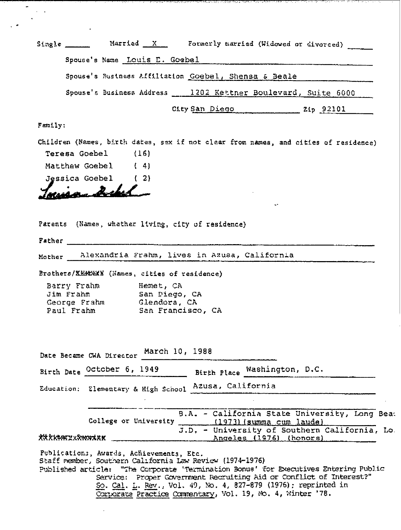|         |                                          |                               | Single _________ Married X Formerly married (Widowed or divorced) |                              |                                                                                      |
|---------|------------------------------------------|-------------------------------|-------------------------------------------------------------------|------------------------------|--------------------------------------------------------------------------------------|
|         |                                          | Spouse's Name Louis E. Goebel |                                                                   |                              |                                                                                      |
|         |                                          |                               | Spouse's Business Affiliation Goebel, Shensa & Beale              |                              |                                                                                      |
|         |                                          |                               | Spouse's Business Address __ 1202 Kettner Boulevard, Suite 6000   |                              |                                                                                      |
|         |                                          |                               |                                                                   | City San Diego 2ip 92101     |                                                                                      |
| Family: |                                          |                               |                                                                   |                              |                                                                                      |
|         |                                          |                               |                                                                   |                              | Children (Names, birth dates, sex if not clear from names, and cities of residence)  |
|         | Teresa Goebel (16)                       |                               |                                                                   |                              |                                                                                      |
|         | Matthew Goebel (4)                       |                               |                                                                   |                              |                                                                                      |
|         | Jessica Goebel (2)                       |                               |                                                                   |                              |                                                                                      |
|         |                                          | $\boldsymbol{z}$ . I. .       |                                                                   |                              |                                                                                      |
|         |                                          |                               |                                                                   |                              |                                                                                      |
|         |                                          |                               |                                                                   |                              |                                                                                      |
|         |                                          |                               | Parents (Names, whether living, city of residence)                |                              |                                                                                      |
|         | Father                                   |                               |                                                                   |                              |                                                                                      |
|         |                                          |                               | Mother Alexandria Frahm, lives in Azusa, California               |                              |                                                                                      |
|         |                                          |                               |                                                                   |                              |                                                                                      |
|         |                                          |                               | Brothers/XKRXXXX (Names, cities of residence)                     |                              |                                                                                      |
|         | Barry Frahm Memet, CA<br>Jim Frahm       |                               | San Diego, CA                                                     |                              |                                                                                      |
|         | George Frahm                             | Glendora, CA                  |                                                                   |                              |                                                                                      |
|         | Paul Frahm                               |                               | San Francisco, CA                                                 |                              |                                                                                      |
|         |                                          |                               |                                                                   |                              |                                                                                      |
|         |                                          |                               |                                                                   |                              |                                                                                      |
|         | Date Became CWA Director March 10, 1988  |                               |                                                                   |                              |                                                                                      |
|         | Birth Date October 6, 1949               |                               |                                                                   | Birth Place Washington, D.C. |                                                                                      |
|         |                                          |                               | Education: Elementary & High School Azusa, California             |                              |                                                                                      |
|         |                                          |                               |                                                                   |                              |                                                                                      |
|         |                                          |                               |                                                                   |                              | B.A. - California State University, Long Bea                                         |
|         |                                          |                               | College or University (1973) (summa cum laude)                    |                              |                                                                                      |
|         | xx xxxatxxxxxxxxx                        |                               | Angeles (1976) (honors)                                           |                              | J.D. - University of Southern California, Lo                                         |
|         |                                          |                               |                                                                   |                              |                                                                                      |
|         | Publications, Awards, Achievements, Etc. |                               | Staff member, Southern California Law Review (1974-1976)          |                              |                                                                                      |
|         |                                          |                               |                                                                   |                              | Published article: "The Corporate 'Termination Bonus' for Executives Entering Public |
|         |                                          |                               | So. Cal. L. Rev., Vol. 49, No. 4, 827-879 (1976): reprinted in    |                              | Service: Proper Government Recruiting Aid or Conflict of Interest?"                  |
|         |                                          |                               | Corporate Practice Commentary, Vol. 19, No. 4, Winter '78.        |                              |                                                                                      |

 $\ddot{\phantom{0}}$ 

 $\blacksquare$ 

 $\sim$   $\star$  $\mathcal{L}$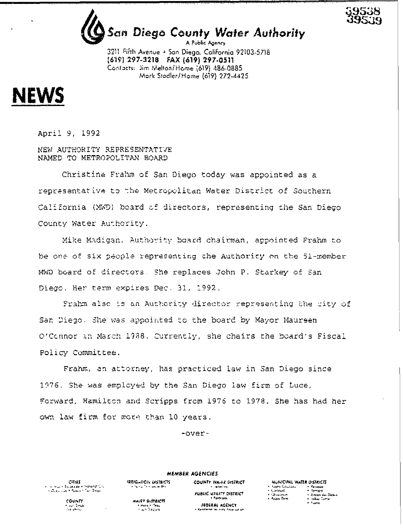

# San Diego County Water Authority A Public Agency

3211 Fifth Avenue + San Diego, California 92103-5718 (619) 297-3218 FAX (619) 297-0511 Contacts: Jim Melton/Home (619) 486-0885 Mork Stadler/Home (619) 272-4425



April 9, 1992

NEW AUTHORITY REPRESENTATIVE NAMED TO METROPOLITAN BOARD

Christine Frahm of San Diego today was appointed as a representative to the Metropolitan Water District of Southern California (MWD) beard of directors, representing the San Diego County Water Authority.

Mike Madigan, Authority board chairman, appointed Frahm to be one of six people representing the Authority on the 51-member MWD board of directors. She replaces John P. Starkey of San Diego. Her term expires Dec. 31, 1992.

Frahm also is an Authority director representing the city of San Diego. She was appointed to the board by Mayor Maureen O'Connor in March 1988. Currently, she chairs the board's Fiscal Policy Committee.

Frahm, an attorney, has practiced law in San Diego since 1976. She was employed by the San Diego law firm of Luce, Forward, Hamilton and Scripps from 1976 to 1978. She has had her own law firm for more than 10 years.

 $-over$ -

**MEMBER AGENCIES IRRIGANON DISTRICTS** 

**Change of Cancer Bry** 

WAIT? O STRICTS

r enkelt films<br>De films

COUNTY WAIER DISTRICT **Ladar Co** FUBLIC UTILITY DISTRICT + Failh-adh FEDERAL AGENCY **Participants** 

MUNICIPAL WATER DISTRICTS **Nucleo Constant** - Painbow<br>- Ramapa  $-1.30634$ e (Shaqabaan)<br>2. Paden Dom + Ancon dei Dialen ⊁i rallay Centari<br>≠ Tusma